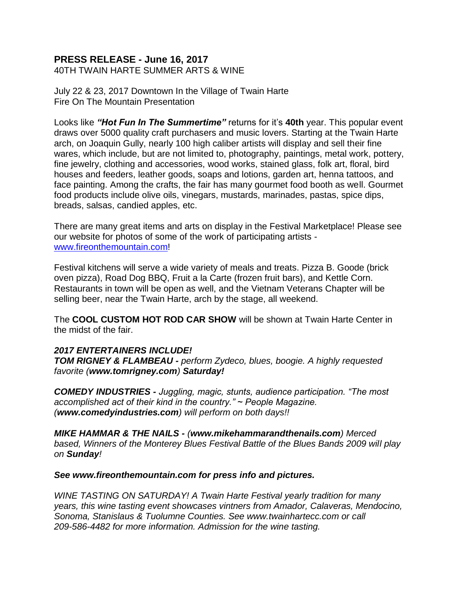## **PRESS RELEASE - June 16, 2017**

40TH TWAIN HARTE SUMMER ARTS & WINE

July 22 & 23, 2017 Downtown In the Village of Twain Harte Fire On The Mountain Presentation

Looks like *"Hot Fun In The Summertime"* returns for it's **40th** year. This popular event draws over 5000 quality craft purchasers and music lovers. Starting at the Twain Harte arch, on Joaquin Gully, nearly 100 high caliber artists will display and sell their fine wares, which include, but are not limited to, photography, paintings, metal work, pottery, fine jewelry, clothing and accessories, wood works, stained glass, folk art, floral, bird houses and feeders, leather goods, soaps and lotions, garden art, henna tattoos, and face painting. Among the crafts, the fair has many gourmet food booth as well. Gourmet food products include olive oils, vinegars, mustards, marinades, pastas, spice dips, breads, salsas, candied apples, etc.

There are many great items and arts on display in the Festival Marketplace! Please see our website for photos of some of the work of participating artists [www.fireonthemountain.com!](http://www.fireonthemountain.com/)

Festival kitchens will serve a wide variety of meals and treats. Pizza B. Goode (brick oven pizza), Road Dog BBQ, Fruit a la Carte (frozen fruit bars), and Kettle Corn. Restaurants in town will be open as well, and the Vietnam Veterans Chapter will be selling beer, near the Twain Harte, arch by the stage, all weekend.

The **COOL CUSTOM HOT ROD CAR SHOW** will be shown at Twain Harte Center in the midst of the fair.

## *2017 ENTERTAINERS INCLUDE!*

*TOM RIGNEY & FLAMBEAU - perform Zydeco, blues, boogie. A highly requested favorite (www.tomrigney.com) Saturday!*

*COMEDY INDUSTRIES - Juggling, magic, stunts, audience participation. "The most accomplished act of their kind in the country." ~ People Magazine. (www.comedyindustries.com) will perform on both days!!*

*MIKE HAMMAR & THE NAILS - (www.mikehammarandthenails.com) Merced based, Winners of the Monterey Blues Festival Battle of the Blues Bands 2009 will play on Sunday!*

## *See www.fireonthemountain.com for press info and pictures.*

*WINE TASTING ON SATURDAY! A Twain Harte Festival yearly tradition for many years, this wine tasting event showcases vintners from Amador, Calaveras, Mendocino, Sonoma, Stanislaus & Tuolumne Counties. See www.twainhartecc.com or call 209-586-4482 for more information. Admission for the wine tasting.*